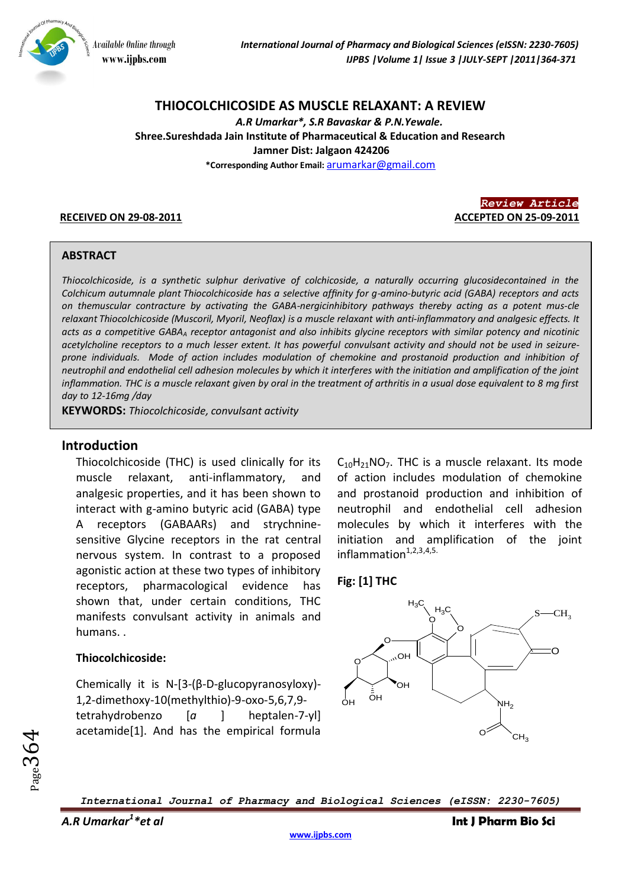

# **THIOCOLCHICOSIDE AS MUSCLE RELAXANT: A REVIEW**

*A.R Umarkar\*, S.R Bavaskar & P.N.Yewale.* **Shree.Sureshdada Jain Institute of Pharmaceutical & Education and Research Jamner Dist: Jalgaon 424206**

**\*Corresponding Author Email:** [arumarkar@gmail.com](mailto:arumarkar@gmail.com)



#### **ABSTRACT**

*Thiocolchicoside, is a synthetic sulphur derivative of colchicoside, a naturally occurring glucosidecontained in the Colchicum autumnale plant Thiocolchicoside has a selective affinity for g-amino-butyric acid (GABA) receptors and acts on themuscular contracture by activating the GABA-nergicinhibitory pathways thereby acting as a potent mus-cle relaxant Thiocolchicoside (Muscoril, Myoril, Neoflax) is a muscle relaxant with anti-inflammatory and analgesic effects. It acts as a competitive GABA<sup>A</sup> receptor antagonist and also inhibits glycine receptors with similar potency and nicotinic acetylcholine receptors to a much lesser extent. It has powerful convulsant activity and should not be used in seizureprone individuals. Mode of action includes modulation of chemokine and prostanoid production and inhibition of neutrophil and endothelial cell adhesion molecules by which it interferes with the initiation and amplification of the joint inflammation. THC is a muscle relaxant given by oral in the treatment of arthritis in a usual dose equivalent to 8 mg first day to 12-16mg /day*

**KEYWORDS:** *Thiocolchicoside, convulsant activity*

# **Introduction**

Thiocolchicoside (THC) is used clinically for its muscle relaxant, anti-inflammatory, and analgesic properties, and it has been shown to interact with g-amino butyric acid (GABA) type A receptors (GABAARs) and strychninesensitive Glycine receptors in the rat central nervous system. In contrast to a proposed agonistic action at these two types of inhibitory receptors, pharmacological evidence has shown that, under certain conditions, THC manifests convulsant activity in animals and humans. .

#### **Thiocolchicoside:**

Chemically it is N-[3-(β-D-glucopyranosyloxy)- 1,2-dimethoxy-10(methylthio)-9-oxo-5,6,7,9 tetrahydrobenzo [*a* ] heptalen-7-yl] acetamide[1]. And has the empirical formula  $C_{10}H_{21}NO_7$ . THC is a muscle relaxant. Its mode of action includes modulation of chemokine and prostanoid production and inhibition of neutrophil and endothelial cell adhesion molecules by which it interferes with the initiation and amplification of the joint  $inflammation<sup>1,2,3,4,5</sup>$ .

#### **Fig: [1] THC**



*International Journal of Pharmacy and Biological Sciences (eISSN: 2230-7605)*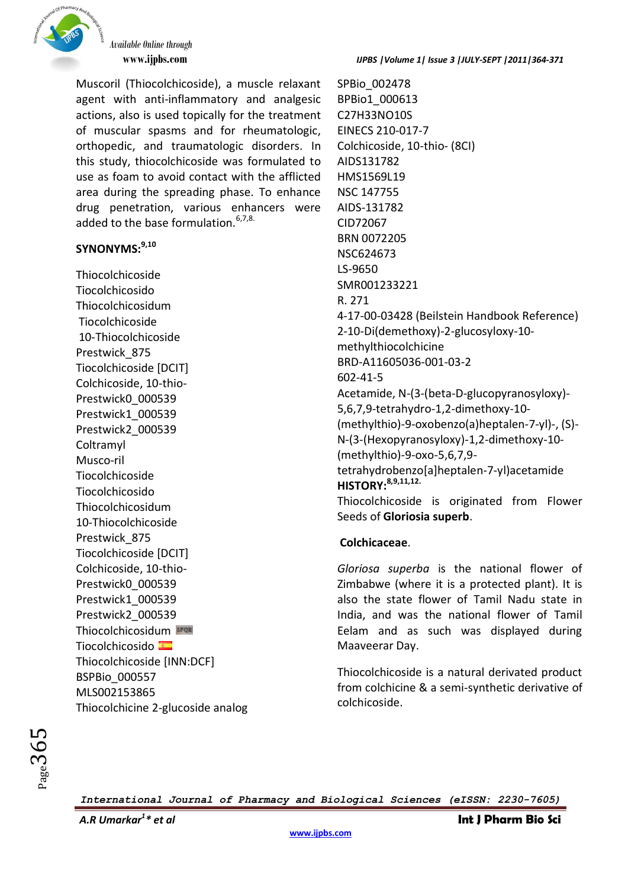

Muscoril (Thiocolchicoside), a muscle relaxant agent with anti-inflammatory and analgesic actions, also is used topically for the treatment of muscular spasms and for rheumatologic, orthopedic, and traumatologic disorders. In this study, thiocolchicoside was formulated to use as foam to avoid contact with the afflicted area during the spreading phase. To enhance drug penetration, various enhancers were added to the base formulation.<sup>6,7,8.</sup>

# **SYNONYMS: 9,10**

Thiocolchicoside Tiocolchicosido Thiocolchicosidum Tiocolchicoside 10-Thiocolchicoside Prestwick\_875 Tiocolchicoside [DCIT] Colchicoside, 10-thio-Prestwick0\_000539 Prestwick1\_000539 Prestwick2\_000539 **Coltramyl** Musco-ril Tiocolchicoside Tiocolchicosido Thiocolchicosidum 10-Thiocolchicoside Prestwick\_875 Tiocolchicoside [DCIT] Colchicoside, 10-thio-Prestwick0\_000539 Prestwick1\_000539 Prestwick2\_000539 Thiocolchicosidum Tiocolchicosido Thiocolchicoside [INN:DCF] BSPBio\_000557 MLS002153865 Thiocolchicine 2-glucoside analog SPBio\_002478 BPBio1\_000613 C27H33NO10S EINECS 210-017-7 Colchicoside, 10-thio- (8CI) AIDS131782 HMS1569L19 NSC 147755 AIDS-131782 CID72067 BRN 0072205 NSC624673 LS-9650 SMR001233221 R. 271 4-17-00-03428 (Beilstein Handbook Reference) 2-10-Di(demethoxy)-2-glucosyloxy-10 methylthiocolchicine BRD-A11605036-001-03-2 602-41-5 Acetamide, N-(3-(beta-D-glucopyranosyloxy)- 5,6,7,9-tetrahydro-1,2-dimethoxy-10- (methylthio)-9-oxobenzo(a)heptalen-7-yl)-, (S)- N-(3-(Hexopyranosyloxy)-1,2-dimethoxy-10- (methylthio)-9-oxo-5,6,7,9 tetrahydrobenzo[a]heptalen-7-yl)acetamide **HISTORY:8,9,11,12.** Thiocolchicoside is originated from Flower Seeds of **Gloriosia superb**.

# **Colchicaceae**.

*Gloriosa superba* is the national flower of Zimbabwe (where it is a protected plant). It is also the state flower of Tamil Nadu state in India, and was the national flower of Tamil Eelam and as such was displayed during Maaveerar Day.

Thiocolchicoside is a natural derivated product from colchicine & a semi-synthetic derivative of colchicoside.

*International Journal of Pharmacy and Biological Sciences (eISSN: 2230-7605)*

*\* et al* **Int J Pharm Bio Sci**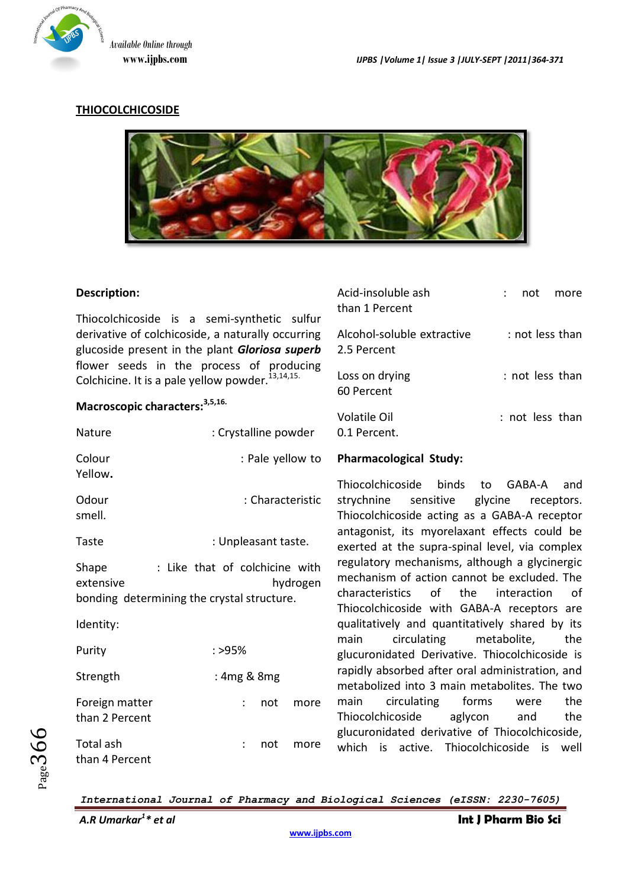

Acid-insoluble ash : not more

# **THIOCOLCHICOSIDE**



### **Description:**

Thiocolchicoside is a semi-synthetic sulfur derivative of colchicoside, a naturally occurring glucoside present in the plant *Gloriosa superb* flower seeds in the process of producing Colchicine. It is a pale yellow powder. $^{13,14,15.}$ than 1 Percent Alcohol-soluble extractive : not less than 2.5 Percent Loss on drying  $\cdot$  : not less than 60 Percent

# **Macroscopic characters: 3,5,16.**

| Nature                           | : Crystalline powder                                                                     | Volatile Oil<br>: not less than<br>0.1 Percent.                                                                                                                                                 |
|----------------------------------|------------------------------------------------------------------------------------------|-------------------------------------------------------------------------------------------------------------------------------------------------------------------------------------------------|
| Colour<br>Yellow.                | : Pale yellow to                                                                         | <b>Pharmacological Study:</b>                                                                                                                                                                   |
| Odour<br>smell.                  | : Characteristic                                                                         | Thiocolchicoside binds<br>GABA-A<br>to<br>and<br>strychnine<br>sensitive<br>glycine<br>receptors.<br>Thiocolchicoside acting as a GABA-A receptor                                               |
| Taste                            | : Unpleasant taste.                                                                      | antagonist, its myorelaxant effects could be<br>exerted at the supra-spinal level, via complex                                                                                                  |
| Shape<br>extensive               | : Like that of colchicine with<br>hydrogen<br>bonding determining the crystal structure. | regulatory mechanisms, although a glycinergic<br>mechanism of action cannot be excluded. The<br>characteristics<br>of<br>the<br>interaction<br>0f<br>Thiocolchicoside with GABA-A receptors are |
| Identity:                        |                                                                                          | qualitatively and quantitatively shared by its                                                                                                                                                  |
| Purity                           | : >95%                                                                                   | circulating<br>metabolite,<br>main<br>the<br>glucuronidated Derivative. Thiocolchicoside is                                                                                                     |
| Strength                         | : 4mg & 8mg                                                                              | rapidly absorbed after oral administration, and<br>metabolized into 3 main metabolites. The two                                                                                                 |
| Foreign matter<br>than 2 Percent | not<br>more                                                                              | circulating<br>forms<br>main<br>the<br>were<br>Thiocolchicoside<br>aglycon<br>the<br>and<br>glucuronidated derivative of Thiocolchicoside,                                                      |
| Total ash<br>than 4 Percent      | not<br>more                                                                              | which is active. Thiocolchicoside is well                                                                                                                                                       |

*International Journal of Pharmacy and Biological Sciences (eISSN: 2230-7605)*

 $_{Page}366$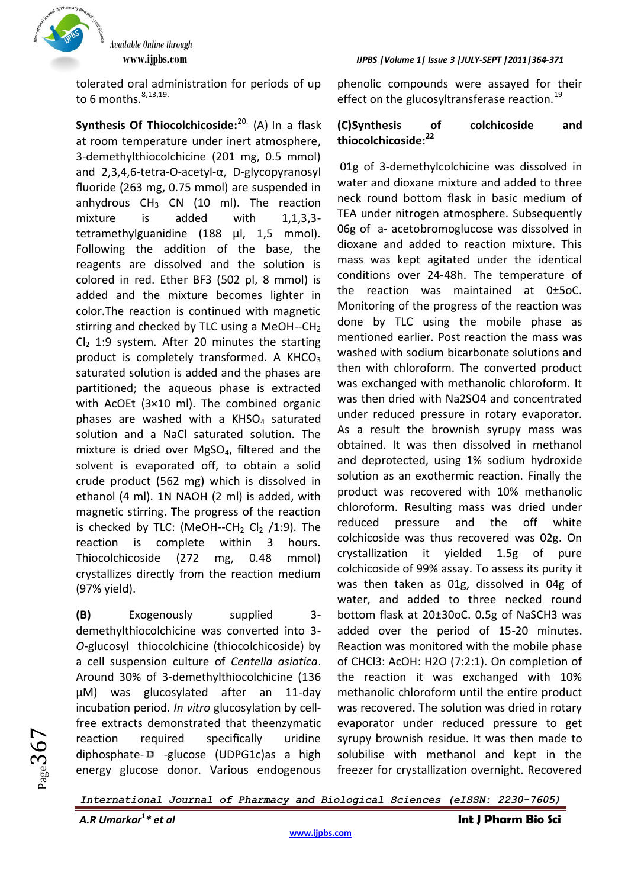

tolerated oral administration for periods of up to 6 months. $8,13,19$ .

**Synthesis Of Thiocolchicoside:**20. (A) In a flask at room temperature under inert atmosphere, 3-demethylthiocolchicine (201 mg, 0.5 mmol) and 2,3,4,6-tetra-O-acetyl-α, D-glycopyranosyl fluoride (263 mg, 0.75 mmol) are suspended in anhydrous  $CH_3$  CN (10 ml). The reaction mixture is added with 1,1,3,3 tetramethylguanidine (188 μl, 1,5 mmol). Following the addition of the base, the reagents are dissolved and the solution is colored in red. Ether BF3 (502 pl, 8 mmol) is added and the mixture becomes lighter in color.The reaction is continued with magnetic stirring and checked by TLC using a MeOH--CH<sub>2</sub>  $Cl<sub>2</sub> 1:9$  system. After 20 minutes the starting product is completely transformed. A KHCO<sub>3</sub> saturated solution is added and the phases are partitioned; the aqueous phase is extracted with AcOEt (3×10 ml). The combined organic phases are washed with a  $KHSO<sub>4</sub>$  saturated solution and a NaCl saturated solution. The mixture is dried over MgSO4, filtered and the solvent is evaporated off, to obtain a solid crude product (562 mg) which is dissolved in ethanol (4 ml). 1N NAOH (2 ml) is added, with magnetic stirring. The progress of the reaction is checked by TLC: (MeOH--CH<sub>2</sub> Cl<sub>2</sub> /1:9). The reaction is complete within 3 hours. Thiocolchicoside (272 mg, 0.48 mmol) crystallizes directly from the reaction medium (97% yield).

**(B)** Exogenously supplied 3 demethylthiocolchicine was converted into 3- *O*-glucosyl thiocolchicine (thiocolchicoside) by a cell suspension culture of *Centella asiatica*. Around 30% of 3-demethylthiocolchicine (136 μM) was glucosylated after an 11-day incubation period. *In vitro* glucosylation by cellfree extracts demonstrated that theenzymatic reaction required specifically uridine diphosphate-D -glucose (UDPG1c)as a high energy glucose donor. Various endogenous

#### **www.ijpbs.com** *IJPBS |Volume 1| Issue 3 |JULY-SEPT |2011|364-371*

phenolic compounds were assayed for their effect on the glucosyltransferase reaction.<sup>19</sup>

# **(C)Synthesis of colchicoside and thiocolchicoside:<sup>22</sup>**

01g of 3-demethylcolchicine was dissolved in water and dioxane mixture and added to three neck round bottom flask in basic medium of TEA under nitrogen atmosphere. Subsequently 06g of a- acetobromoglucose was dissolved in dioxane and added to reaction mixture. This mass was kept agitated under the identical conditions over 24-48h. The temperature of the reaction was maintained at 0±5oC. Monitoring of the progress of the reaction was done by TLC using the mobile phase as mentioned earlier. Post reaction the mass was washed with sodium bicarbonate solutions and then with chloroform. The converted product was exchanged with methanolic chloroform. It was then dried with Na2SO4 and concentrated under reduced pressure in rotary evaporator. As a result the brownish syrupy mass was obtained. It was then dissolved in methanol and deprotected, using 1% sodium hydroxide solution as an exothermic reaction. Finally the product was recovered with 10% methanolic chloroform. Resulting mass was dried under reduced pressure and the off white colchicoside was thus recovered was 02g. On crystallization it yielded 1.5g of pure colchicoside of 99% assay. To assess its purity it was then taken as 01g, dissolved in 04g of water, and added to three necked round bottom flask at 20±30oC. 0.5g of NaSCH3 was added over the period of 15-20 minutes. Reaction was monitored with the mobile phase of CHCl3: AcOH: H2O (7:2:1). On completion of the reaction it was exchanged with 10% methanolic chloroform until the entire product was recovered. The solution was dried in rotary evaporator under reduced pressure to get syrupy brownish residue. It was then made to solubilise with methanol and kept in the freezer for crystallization overnight. Recovered

*International Journal of Pharmacy and Biological Sciences (eISSN: 2230-7605)*

 $_{Page}367$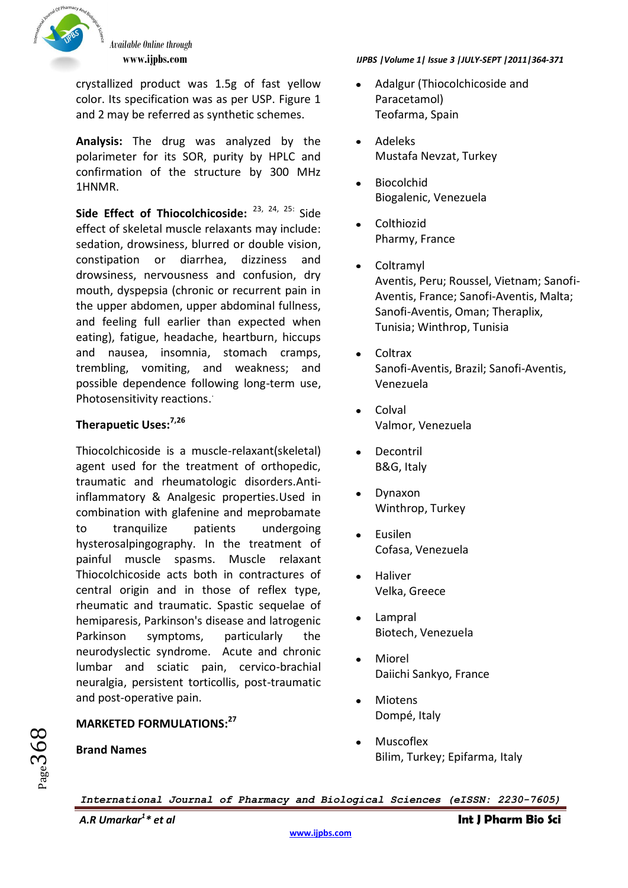

crystallized product was 1.5g of fast yellow color. Its specification was as per USP. Figure 1 and 2 may be referred as synthetic schemes.

**Analysis:** The drug was analyzed by the polarimeter for its SOR, purity by HPLC and confirmation of the structure by 300 MHz 1HNMR.

**Side Effect of Thiocolchicoside:** 23, 24, 25: Side effect of skeletal muscle relaxants may include: sedation, drowsiness, blurred or double vision, constipation or diarrhea, dizziness and drowsiness, nervousness and confusion, dry mouth, dyspepsia (chronic or recurrent pain in the upper abdomen, upper abdominal fullness, and feeling full earlier than expected when eating), fatigue, headache, heartburn, hiccups and nausea, insomnia, stomach cramps, trembling, vomiting, and weakness; and possible dependence following long-term use, Photosensitivity reactions.

# **Therapuetic Uses:7,26**

Thiocolchicoside is a muscle-relaxant(skeletal) agent used for the treatment of orthopedic, traumatic and rheumatologic disorders.Antiinflammatory & Analgesic properties.Used in combination with glafenine and meprobamate to tranquilize patients undergoing hysterosalpingography. In the treatment of painful muscle spasms. Muscle relaxant Thiocolchicoside acts both in contractures of central origin and in those of reflex type, rheumatic and traumatic. Spastic sequelae of hemiparesis, Parkinson's disease and latrogenic Parkinson symptoms, particularly the neurodyslectic syndrome. Acute and chronic lumbar and sciatic pain, cervico-brachial neuralgia, persistent torticollis, post-traumatic and post-operative pain.

# **MARKETED FORMULATIONS: 27**

# **Brand Names**

 $_{\rm{Page}}$ 368

# **www.ijpbs.com** *IJPBS |Volume 1| Issue 3 |JULY-SEPT |2011|364-371*

- Adalgur (Thiocolchicoside and  $\bullet$ Paracetamol) Teofarma, Spain
- Adeleks Mustafa Nevzat, Turkey
- Biocolchid  $\bullet$ Biogalenic, Venezuela
- Colthiozid Pharmy, France
- **Coltramyl**  $\bullet$ Aventis, Peru; Roussel, Vietnam; Sanofi-Aventis, France; Sanofi-Aventis, Malta; Sanofi-Aventis, Oman; Theraplix, Tunisia; Winthrop, Tunisia
- Coltrax Sanofi-Aventis, Brazil; Sanofi-Aventis, Venezuela
- Colval Valmor, Venezuela
- Decontril B&G, Italy
- Dynaxon Winthrop, Turkey
- Eusilen Cofasa, Venezuela
- Haliver Velka, Greece
- Lampral Biotech, Venezuela
- Miorel Daiichi Sankyo, France
- Miotens Dompé, Italy
- Muscoflex Bilim, Turkey; Epifarma, Italy

*International Journal of Pharmacy and Biological Sciences (eISSN: 2230-7605)*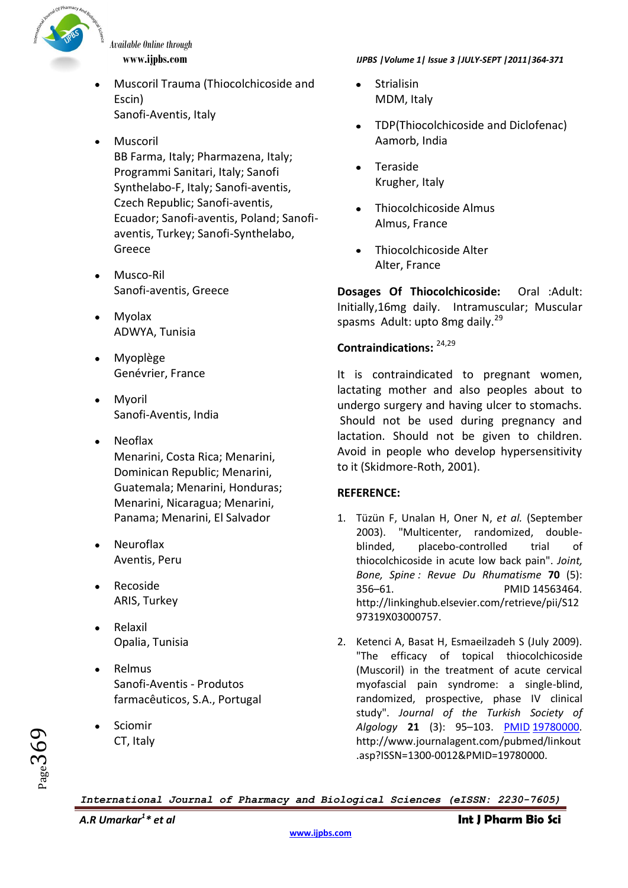

- Muscoril Trauma (Thiocolchicoside and Escin) Sanofi-Aventis, Italy
- Muscoril

BB Farma, Italy; Pharmazena, Italy; Programmi Sanitari, Italy; Sanofi Synthelabo-F, Italy; Sanofi-aventis, Czech Republic; Sanofi-aventis, Ecuador; Sanofi-aventis, Poland; Sanofiaventis, Turkey; Sanofi-Synthelabo, Greece

- Musco-Ril Sanofi-aventis, Greece
- Myolax ADWYA, Tunisia
- Myoplège Genévrier, France
- Myoril Sanofi-Aventis, India
- Neoflax Menarini, Costa Rica; Menarini, Dominican Republic; Menarini, Guatemala; Menarini, Honduras; Menarini, Nicaragua; Menarini, Panama; Menarini, El Salvador
- Neuroflax Aventis, Peru
- Recoside ARIS, Turkey
- Relaxil Opalia, Tunisia
- Relmus Sanofi-Aventis - Produtos farmacêuticos, S.A., Portugal
- Sciomir CT, Italy

# **www.ijpbs.com** *IJPBS |Volume 1| Issue 3 |JULY-SEPT |2011|364-371*

- **Strialisin** MDM, Italy
- TDP(Thiocolchicoside and Diclofenac) Aamorb, India
- Teraside  $\bullet$ Krugher, Italy
- Thiocolchicoside Almus Almus, France
- Thiocolchicoside Alter Alter, France

**Dosages Of Thiocolchicoside:** Oral :Adult: Initially,16mg daily. Intramuscular; Muscular spasms Adult: upto 8mg daily.<sup>29</sup>

# **Contraindications:** 24,29

It is contraindicated to pregnant women, lactating mother and also peoples about to undergo surgery and having ulcer to stomachs. Should not be used during pregnancy and lactation. Should not be given to children. Avoid in people who develop hypersensitivity to it (Skidmore-Roth, 2001).

# **REFERENCE:**

- 1. Tüzün F, Unalan H, Oner N, *et al.* (September 2003). "Multicenter, randomized, doubleblinded, placebo-controlled trial of thiocolchicoside in acute low back pain". *Joint, Bone, Spine : Revue Du Rhumatisme* **70** (5): 356–61. PMID 14563464. http://linkinghub.elsevier.com/retrieve/pii/S12 97319X03000757.
- 2. Ketenci A, Basat H, Esmaeilzadeh S (July 2009). "The efficacy of topical thiocolchicoside (Muscoril) in the treatment of acute cervical myofascial pain syndrome: a single-blind, randomized, prospective, phase IV clinical study". *Journal of the Turkish Society of Algology* **21** (3): 95–103. [PMID](http://en.wikipedia.org/wiki/PubMed_Identifier) [19780000.](http://www.ncbi.nlm.nih.gov/pubmed/19780000) http://www.journalagent.com/pubmed/linkout .asp?ISSN=1300-0012&PMID=19780000.

*International Journal of Pharmacy and Biological Sciences (eISSN: 2230-7605)*

 $_{Page}369$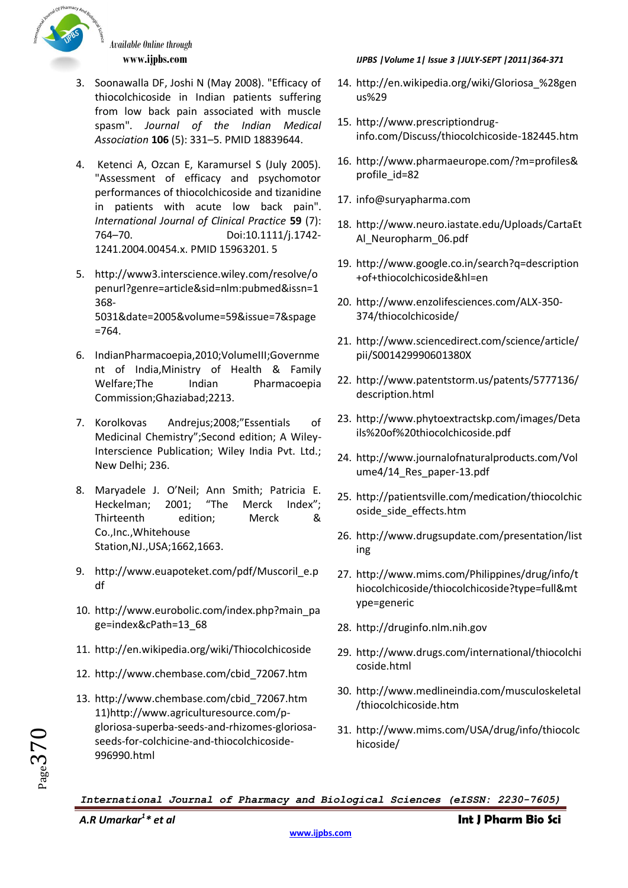

- 3. Soonawalla DF, Joshi N (May 2008). "Efficacy of thiocolchicoside in Indian patients suffering from low back pain associated with muscle spasm". *Journal of the Indian Medical Association* **106** (5): 331–5. PMID 18839644.
- 4. Ketenci A, Ozcan E, Karamursel S (July 2005). "Assessment of efficacy and psychomotor performances of thiocolchicoside and tizanidine in patients with acute low back pain". *International Journal of Clinical Practice* **59** (7): 764–70. Doi:10.1111/j.1742- 1241.2004.00454.x. PMID 15963201. 5
- 5. http://www3.interscience.wiley.com/resolve/o penurl?genre=article&sid=nlm:pubmed&issn=1 368- 5031&date=2005&volume=59&issue=7&spage =764.
- 6. IndianPharmacoepia,2010;VolumeIII;Governme nt of India,Ministry of Health & Family Welfare;The Indian Pharmacoepia Commission;Ghaziabad;2213.
- 7. Korolkovas Andrejus;2008;"Essentials of Medicinal Chemistry";Second edition; A Wiley-Interscience Publication; Wiley India Pvt. Ltd.; New Delhi; 236.
- 8. Maryadele J. O'Neil; Ann Smith; Patricia E. Heckelman; 2001; "The Merck Index"; Thirteenth edition; Merck & Co.,Inc.,Whitehouse Station,NJ.,USA;1662,1663.
- 9. http://www.euapoteket.com/pdf/Muscoril e.p df
- 10. http://www.eurobolic.com/index.php?main\_pa ge=index&cPath=13\_68
- 11. http://en.wikipedia.org/wiki/Thiocolchicoside
- 12. http://www.chembase.com/cbid\_72067.htm
- 13. http://www.chembase.com/cbid\_72067.htm 11)http://www.agriculturesource.com/pgloriosa-superba-seeds-and-rhizomes-gloriosaseeds-for-colchicine-and-thiocolchicoside-996990.html

### **www.ijpbs.com** *IJPBS |Volume 1| Issue 3 |JULY-SEPT |2011|364-371*

- 14. http://en.wikipedia.org/wiki/Gloriosa\_%28gen us%29
- 15. http://www.prescriptiondruginfo.com/Discuss/thiocolchicoside-182445.htm
- 16. http://www.pharmaeurope.com/?m=profiles& profile id=82
- 17. info@suryapharma.com
- 18. http://www.neuro.iastate.edu/Uploads/CartaEt Al\_Neuropharm\_06.pdf
- 19. http://www.google.co.in/search?q=description +of+thiocolchicoside&hl=en
- 20. http://www.enzolifesciences.com/ALX-350- 374/thiocolchicoside/
- 21. http://www.sciencedirect.com/science/article/ pii/S001429990601380X
- 22. http://www.patentstorm.us/patents/5777136/ description.html
- 23. http://www.phytoextractskp.com/images/Deta ils%20of%20thiocolchicoside.pdf
- 24. http://www.journalofnaturalproducts.com/Vol ume4/14\_Res\_paper-13.pdf
- 25. http://patientsville.com/medication/thiocolchic oside\_side\_effects.htm
- 26. http://www.drugsupdate.com/presentation/list ing
- 27. http://www.mims.com/Philippines/drug/info/t hiocolchicoside/thiocolchicoside?type=full&mt ype=generic
- 28. http://druginfo.nlm.nih.gov
- 29. http://www.drugs.com/international/thiocolchi coside.html
- 30. http://www.medlineindia.com/musculoskeletal /thiocolchicoside.htm
- 31. http://www.mims.com/USA/drug/info/thiocolc hicoside/

*International Journal of Pharmacy and Biological Sciences (eISSN: 2230-7605)*

 $Page370$